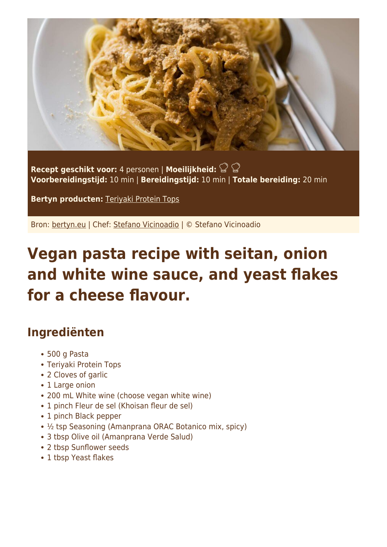

**Recept geschikt voor:** 4 personen | **Moeilijkheid: Voorbereidingstijd:** 10 min | **Bereidingstijd:** 10 min | **Totale bereiding:** 20 min

**Bertyn producten:** [Teriyaki Protein Tops](https://www.bertyn.eu/en/product/teriyaki-protein-tops/)

Bron: [bertyn.eu](https://www.bertyn.eu/en/recipe/vegan-pasta-seitan-yeast-flakes/) | Chef: [Stefano Vicinoadio](https://www.bertyn.eu/en/author/) | © Stefano Vicinoadio

## **Vegan pasta recipe with seitan, onion and white wine sauce, and yeast flakes for a cheese flavour.**

## **Ingrediënten**

- 500 g Pasta
- Teriyaki Protein Tops
- 2 Cloves of garlic
- 1 Large onion
- 200 mL White wine (choose vegan white wine)
- 1 pinch Fleur de sel (Khoisan fleur de sel)
- 1 pinch Black pepper
- ½ tsp Seasoning (Amanprana ORAC Botanico mix, spicy)
- 3 tbsp Olive oil (Amanprana Verde Salud)
- 2 tbsp Sunflower seeds
- 1 tbsp Yeast flakes